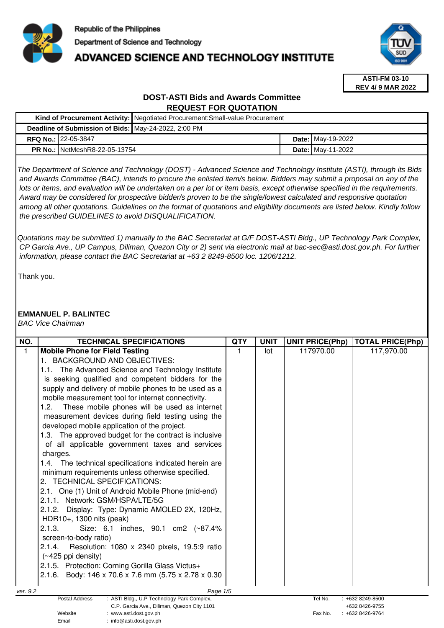

# **ADVANCED SCIENCE AND TECHNOLOGY INSTITUTE**



**ASTI-FM 03-10 REV 4/ 9 MAR 2022**

## **DOST-ASTI Bids and Awards Committee REQUEST FOR QUOTATION**

|                                                      |                                        | Kind of Procurement Activity:   Negotiated Procurement: Small-value Procurement |  |                          |
|------------------------------------------------------|----------------------------------------|---------------------------------------------------------------------------------|--|--------------------------|
| Deadline of Submission of Bids: May-24-2022, 2:00 PM |                                        |                                                                                 |  |                          |
|                                                      | <b>RFQ No.: 22-05-3847</b>             |                                                                                 |  | <b>Date: May-19-2022</b> |
|                                                      | <b>PR No.: I</b> NetMeshR8-22-05-13754 |                                                                                 |  | <b>Date: May-11-2022</b> |

The Department of Science and Technology (DOST) - Advanced Science and Technology Institute (ASTI), through its Bids and Awards Committee (BAC), intends to procure the enlisted item/s below. Bidders may submit a proposal on any of the lots or items, and evaluation will be undertaken on a per lot or item basis, except otherwise specified in the requirements. Award may be considered for prospective bidder/s proven to be the single/lowest calculated and responsive quotation among all other quotations. Guidelines on the format of quotations and eligibility documents are listed below. Kindly follow the prescribed GUIDELINES to avoid DISQUALIFICATION.

Quotations may be submitted 1) manually to the BAC Secretariat at G/F DOST-ASTI Bldg., UP Technology Park Complex, CP Garcia Ave., UP Campus, Diliman, Quezon City or 2) sent via electronic mail at bac-sec@asti.dost.gov.ph. For further information, please contact the BAC Secretariat at +63 2 8249-8500 loc. 1206/1212.

Thank you.

## **EMMANUEL P. BALINTEC**

BAC Vice Chairman

| NO.      | <b>TECHNICAL SPECIFICATIONS</b>                                              | QTY | <b>UNIT</b> | <b>UNIT PRICE(Php)</b> | <b>TOTAL PRICE(Php)</b> |
|----------|------------------------------------------------------------------------------|-----|-------------|------------------------|-------------------------|
| 1        | <b>Mobile Phone for Field Testing</b>                                        |     | lot         | 117970.00              | 117,970.00              |
|          | 1. BACKGROUND AND OBJECTIVES:                                                |     |             |                        |                         |
|          | 1.1. The Advanced Science and Technology Institute                           |     |             |                        |                         |
|          | is seeking qualified and competent bidders for the                           |     |             |                        |                         |
|          | supply and delivery of mobile phones to be used as a                         |     |             |                        |                         |
|          | mobile measurement tool for internet connectivity.                           |     |             |                        |                         |
|          | These mobile phones will be used as internet<br>1.2.                         |     |             |                        |                         |
|          | measurement devices during field testing using the                           |     |             |                        |                         |
|          | developed mobile application of the project.                                 |     |             |                        |                         |
|          | 1.3. The approved budget for the contract is inclusive                       |     |             |                        |                         |
|          | of all applicable government taxes and services                              |     |             |                        |                         |
|          | charges.                                                                     |     |             |                        |                         |
|          | 1.4. The technical specifications indicated herein are                       |     |             |                        |                         |
|          | minimum requirements unless otherwise specified.                             |     |             |                        |                         |
|          | <b>TECHNICAL SPECIFICATIONS:</b><br>2.                                       |     |             |                        |                         |
|          | 2.1. One (1) Unit of Android Mobile Phone (mid-end)                          |     |             |                        |                         |
|          | 2.1.1. Network: GSM/HSPA/LTE/5G                                              |     |             |                        |                         |
|          | 2.1.2. Display: Type: Dynamic AMOLED 2X, 120Hz,                              |     |             |                        |                         |
|          | HDR10+, 1300 nits (peak)                                                     |     |             |                        |                         |
|          | 2.1.3.<br>Size: 6.1 inches, 90.1 cm2 (~87.4%)                                |     |             |                        |                         |
|          | screen-to-body ratio)                                                        |     |             |                        |                         |
|          | Resolution: 1080 x 2340 pixels, 19.5:9 ratio<br>2.1.4.                       |     |             |                        |                         |
|          | $(\sim 425$ ppi density)                                                     |     |             |                        |                         |
|          | 2.1.5. Protection: Corning Gorilla Glass Victus+                             |     |             |                        |                         |
|          | 2.1.6. Body: 146 x 70.6 x 7.6 mm (5.75 x 2.78 x 0.30                         |     |             |                        |                         |
|          |                                                                              |     |             |                        |                         |
| ver. 9.2 | Page 1/5<br>: ASTI Bldg., U.P Technology Park Complex,<br>Postal Address     |     |             | Tel No.                | $: +6328249-8500$       |
|          | C.P. Garcia Ave., Diliman, Quezon City 1101                                  |     |             |                        | +632 8426-9755          |
|          | Website<br>: www.asti.dost.gov.ph<br>$\cdot$ info@asti dost gov ph.<br>Fmail |     |             | Fax No.                | $: +6328426-9764$       |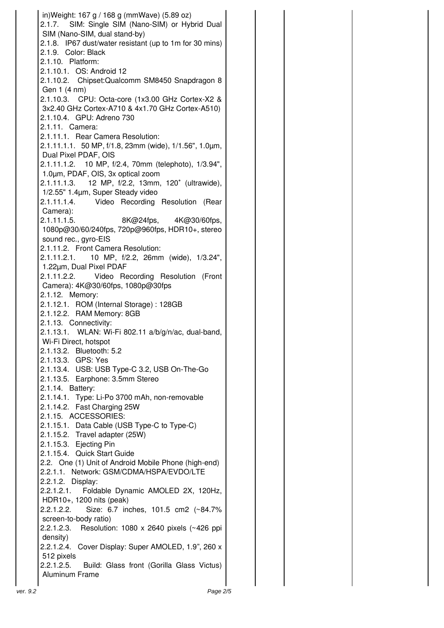|          | in) Weight: 167 g / 168 g (mmWave) (5.89 oz)<br>2.1.7. SIM: Single SIM (Nano-SIM) or Hybrid Dual<br>SIM (Nano-SIM, dual stand-by)<br>2.1.8. IP67 dust/water resistant (up to 1m for 30 mins)<br>2.1.9. Color: Black<br>2.1.10. Platform:<br>2.1.10.1. OS: Android 12<br>2.1.10.2. Chipset: Qualcomm SM8450 Snapdragon 8<br>Gen 1 (4 nm)<br>2.1.10.3. CPU: Octa-core (1x3.00 GHz Cortex-X2 & |  |
|----------|---------------------------------------------------------------------------------------------------------------------------------------------------------------------------------------------------------------------------------------------------------------------------------------------------------------------------------------------------------------------------------------------|--|
|          | 3x2.40 GHz Cortex-A710 & 4x1.70 GHz Cortex-A510)<br>2.1.10.4. GPU: Adreno 730                                                                                                                                                                                                                                                                                                               |  |
|          | 2.1.11. Camera:<br>2.1.11.1. Rear Camera Resolution:                                                                                                                                                                                                                                                                                                                                        |  |
|          | 2.1.11.1.1. 50 MP, f/1.8, 23mm (wide), 1/1.56", 1.0µm,<br>Dual Pixel PDAF, OIS                                                                                                                                                                                                                                                                                                              |  |
|          | 2.1.11.1.2. 10 MP, f/2.4, 70mm (telephoto), 1/3.94",<br>1.0µm, PDAF, OIS, 3x optical zoom                                                                                                                                                                                                                                                                                                   |  |
|          | 2.1.11.1.3. 12 MP, f/2.2, 13mm, 120° (ultrawide),                                                                                                                                                                                                                                                                                                                                           |  |
|          | 1/2.55" 1.4µm, Super Steady video<br>Video Recording Resolution (Rear<br>2.1.11.1.4.                                                                                                                                                                                                                                                                                                        |  |
|          | Camera):<br>8K@24fps, 4K@30/60fps,<br>2.1.11.1.5.                                                                                                                                                                                                                                                                                                                                           |  |
|          | 1080p@30/60/240fps, 720p@960fps, HDR10+, stereo<br>sound rec., gyro-EIS                                                                                                                                                                                                                                                                                                                     |  |
|          | 2.1.11.2. Front Camera Resolution:<br>2.1.11.2.1. 10 MP, f/2.2, 26mm (wide), 1/3.24",                                                                                                                                                                                                                                                                                                       |  |
|          | 1.22µm, Dual Pixel PDAF<br>2.1.11.2.2. Video Recording Resolution (Front                                                                                                                                                                                                                                                                                                                    |  |
|          | Camera): 4K@30/60fps, 1080p@30fps<br>2.1.12. Memory:                                                                                                                                                                                                                                                                                                                                        |  |
|          | 2.1.12.1. ROM (Internal Storage): 128GB<br>2.1.12.2. RAM Memory: 8GB                                                                                                                                                                                                                                                                                                                        |  |
|          | 2.1.13. Connectivity:<br>2.1.13.1. WLAN: Wi-Fi 802.11 a/b/g/n/ac, dual-band,<br>Wi-Fi Direct, hotspot                                                                                                                                                                                                                                                                                       |  |
|          | 2.1.13.2. Bluetooth: 5.2<br>2.1.13.3. GPS: Yes                                                                                                                                                                                                                                                                                                                                              |  |
|          | 2.1.13.4. USB: USB Type-C 3.2, USB On-The-Go<br>2.1.13.5. Earphone: 3.5mm Stereo<br>2.1.14. Battery:                                                                                                                                                                                                                                                                                        |  |
|          | 2.1.14.1. Type: Li-Po 3700 mAh, non-removable<br>2.1.14.2. Fast Charging 25W                                                                                                                                                                                                                                                                                                                |  |
|          | 2.1.15. ACCESSORIES:<br>2.1.15.1. Data Cable (USB Type-C to Type-C)                                                                                                                                                                                                                                                                                                                         |  |
|          | 2.1.15.2. Travel adapter (25W)<br>2.1.15.3. Ejecting Pin                                                                                                                                                                                                                                                                                                                                    |  |
|          | 2.1.15.4. Quick Start Guide                                                                                                                                                                                                                                                                                                                                                                 |  |
|          | 2.2. One (1) Unit of Android Mobile Phone (high-end)<br>2.2.1.1. Network: GSM/CDMA/HSPA/EVDO/LTE                                                                                                                                                                                                                                                                                            |  |
|          | 2.2.1.2. Display:<br>Foldable Dynamic AMOLED 2X, 120Hz,<br>2.2.1.2.1.                                                                                                                                                                                                                                                                                                                       |  |
|          | HDR10+, 1200 nits (peak)<br>Size: 6.7 inches, 101.5 cm2 (~84.7%<br>2.2.1.2.2.                                                                                                                                                                                                                                                                                                               |  |
|          | screen-to-body ratio)<br>2.2.1.2.3. Resolution: 1080 x 2640 pixels (~426 ppi                                                                                                                                                                                                                                                                                                                |  |
|          | density)<br>2.2.1.2.4. Cover Display: Super AMOLED, 1.9", 260 x<br>512 pixels                                                                                                                                                                                                                                                                                                               |  |
|          | 2.2.1.2.5. Build: Glass front (Gorilla Glass Victus)<br>Aluminum Frame                                                                                                                                                                                                                                                                                                                      |  |
| ver. 9.2 | Page 2/5                                                                                                                                                                                                                                                                                                                                                                                    |  |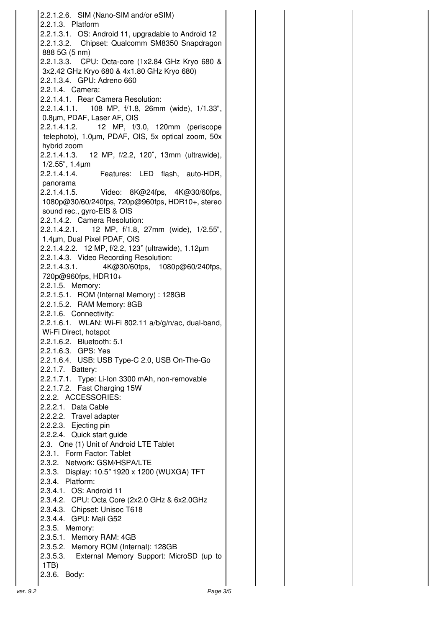2.2.1.2.6. SIM (Nano-SIM and/or eSIM) 2.2.1.3. Platform 2.2.1.3.1. OS: Android 11, upgradable to Android 12 2.2.1.3.2. Chipset: Qualcomm SM8350 Snapdragon 888 5G (5 nm) 2.2.1.3.3. CPU: Octa-core (1x2.84 GHz Kryo 680 & 3x2.42 GHz Kryo 680 & 4x1.80 GHz Kryo 680) 2.2.1.3.4. GPU: Adreno 660 2.2.1.4. Camera: 2.2.1.4.1. Rear Camera Resolution: 2.2.1.4.1.1. 108 MP, f/1.8, 26mm (wide), 1/1.33", 0.8µm, PDAF, Laser AF, OIS 2.2.1.4.1.2. 12 MP, f/3.0, 120mm (periscope telephoto), 1.0µm, PDAF, OIS, 5x optical zoom, 50x hybrid zoom 2.2.1.4.1.3. 12 MP, f/2.2, 120˚, 13mm (ultrawide), 1/2.55", 1.4µm 2.2.1.4.1.4. Features: LED flash, auto-HDR, panorama 2.2.1.4.1.5. Video: 8K@24fps, 4K@30/60fps, 1080p@30/60/240fps, 720p@960fps, HDR10+, stereo sound rec., gyro-EIS & OIS 2.2.1.4.2. Camera Resolution: 2.2.1.4.2.1. 12 MP, f/1.8, 27mm (wide), 1/2.55", 1.4µm, Dual Pixel PDAF, OIS 2.2.1.4.2.2. 12 MP, f/2.2, 123˚ (ultrawide), 1.12µm 2.2.1.4.3. Video Recording Resolution: 2.2.1.4.3.1. 4K@30/60fps, 1080p@60/240fps, 720p@960fps, HDR10+ 2.2.1.5. Memory: 2.2.1.5.1. ROM (Internal Memory) : 128GB 2.2.1.5.2. RAM Memory: 8GB 2.2.1.6. Connectivity: 2.2.1.6.1. WLAN: Wi-Fi 802.11 a/b/g/n/ac, dual-band, Wi-Fi Direct, hotspot 2.2.1.6.2. Bluetooth: 5.1 2.2.1.6.3. GPS: Yes 2.2.1.6.4. USB: USB Type-C 2.0, USB On-The-Go 2.2.1.7. Battery: 2.2.1.7.1. Type: Li-Ion 3300 mAh, non-removable 2.2.1.7.2. Fast Charging 15W 2.2.2. ACCESSORIES: 2.2.2.1. Data Cable 2.2.2.2. Travel adapter 2.2.2.3. Ejecting pin 2.2.2.4. Quick start guide 2.3. One (1) Unit of Android LTE Tablet 2.3.1. Form Factor: Tablet 2.3.2. Network: GSM/HSPA/LTE 2.3.3. Display: 10.5" 1920 x 1200 (WUXGA) TFT 2.3.4. Platform: 2.3.4.1. OS: Android 11 2.3.4.2. CPU: Octa Core (2x2.0 GHz & 6x2.0GHz 2.3.4.3. Chipset: Unisoc T618 2.3.4.4. GPU: Mali G52 2.3.5. Memory: 2.3.5.1. Memory RAM: 4GB 2.3.5.2. Memory ROM (Internal): 128GB 2.3.5.3. External Memory Support: MicroSD (up to 1TB) 2.3.6. Body: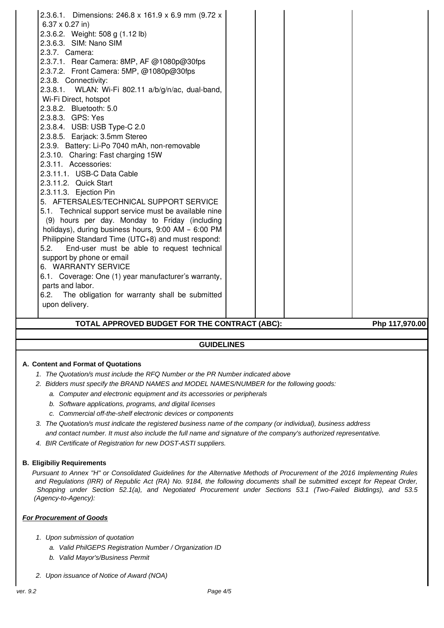| 2.3.6.2. Weight: 508 g (1.12 lb)<br>2.3.6.3. SIM: Nano SIM |  |                |
|------------------------------------------------------------|--|----------------|
| 2.3.7. Camera:                                             |  |                |
| 2.3.7.1. Rear Camera: 8MP, AF @1080p@30fps                 |  |                |
| 2.3.7.2. Front Camera: 5MP, @1080p@30fps                   |  |                |
| 2.3.8. Connectivity:                                       |  |                |
| 2.3.8.1. WLAN: Wi-Fi 802.11 a/b/g/n/ac, dual-band,         |  |                |
| Wi-Fi Direct, hotspot                                      |  |                |
| 2.3.8.2. Bluetooth: 5.0                                    |  |                |
| 2.3.8.3. GPS: Yes                                          |  |                |
| 2.3.8.4. USB: USB Type-C 2.0                               |  |                |
| 2.3.8.5. Earjack: 3.5mm Stereo                             |  |                |
| 2.3.9. Battery: Li-Po 7040 mAh, non-removable              |  |                |
| 2.3.10. Charing: Fast charging 15W                         |  |                |
| 2.3.11. Accessories:                                       |  |                |
| 2.3.11.1. USB-C Data Cable                                 |  |                |
| 2.3.11.2. Quick Start                                      |  |                |
| 2.3.11.3. Ejection Pin                                     |  |                |
| 5. AFTERSALES/TECHNICAL SUPPORT SERVICE                    |  |                |
| 5.1. Technical support service must be available nine      |  |                |
| (9) hours per day. Monday to Friday (including             |  |                |
| holidays), during business hours, 9:00 AM - 6:00 PM        |  |                |
| Philippine Standard Time (UTC+8) and must respond:         |  |                |
| 5.2.<br>End-user must be able to request technical         |  |                |
| support by phone or email                                  |  |                |
| 6. WARRANTY SERVICE                                        |  |                |
| 6.1. Coverage: One (1) year manufacturer's warranty,       |  |                |
| parts and labor.                                           |  |                |
| The obligation for warranty shall be submitted<br>6.2.     |  |                |
| upon delivery.                                             |  |                |
| TOTAL APPROVED BUDGET FOR THE CONTRACT (ABC):              |  | Php 117,970.00 |

#### **GUIDELINES**

#### **A. Content and Format of Quotations**

- 1. The Quotation/s must include the RFQ Number or the PR Number indicated above
- 2. Bidders must specify the BRAND NAMES and MODEL NAMES/NUMBER for the following goods:
	- a. Computer and electronic equipment and its accessories or peripherals
	- b. Software applications, programs, and digital licenses
	- c. Commercial off-the-shelf electronic devices or components
- 3. The Quotation/s must indicate the registered business name of the company (or individual), business address and contact number. It must also include the full name and signature of the company's authorized representative.
- 4. BIR Certificate of Registration for new DOST-ASTI suppliers.

#### **B. Eligibiliy Requirements**

Pursuant to Annex "H" or Consolidated Guidelines for the Alternative Methods of Procurement of the 2016 Implementing Rules and Regulations (IRR) of Republic Act (RA) No. 9184, the following documents shall be submitted except for Repeat Order, Shopping under Section 52.1(a), and Negotiated Procurement under Sections 53.1 (Two-Failed Biddings), and 53.5 (Agency-to-Agency):

#### **For Procurement of Goods**

- 1. Upon submission of quotation
	- a. Valid PhilGEPS Registration Number / Organization ID
	- b. Valid Mayor's/Business Permit
- 2. Upon issuance of Notice of Award (NOA)